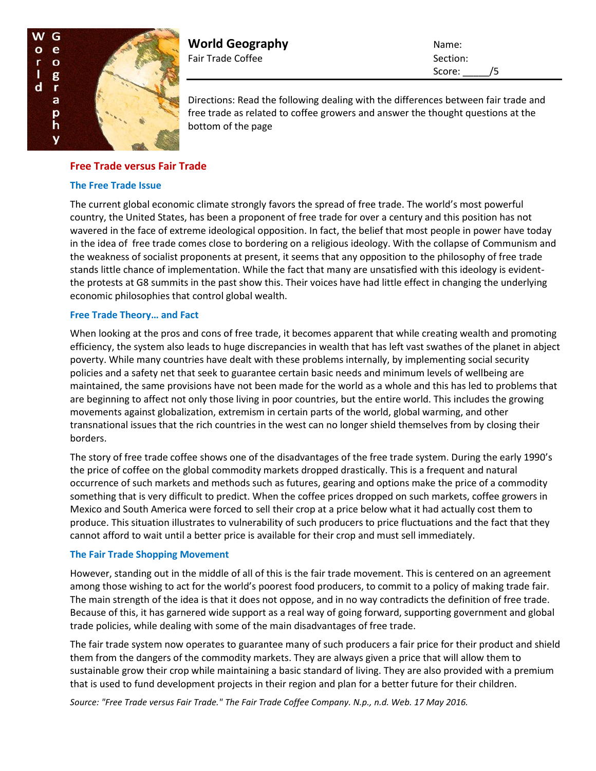

**World Geography** Name: Fair Trade Coffee Section:

Score: /5

Directions: Read the following dealing with the differences between fair trade and free trade as related to coffee growers and answer the thought questions at the bottom of the page

## **Free Trade versus Fair Trade**

### **The Free Trade Issue**

The current global economic climate strongly favors the spread of free trade. The world's most powerful country, the United States, has been a proponent of free trade for over a century and this position has not wavered in the face of extreme ideological opposition. In fact, the belief that most people in power have today in the idea of free trade comes close to bordering on a religious ideology. With the collapse of Communism and the weakness of socialist proponents at present, it seems that any opposition to the philosophy of free trade stands little chance of implementation. While the fact that many are unsatisfied with this ideology is evidentthe protests at G8 summits in the past show this. Their voices have had little effect in changing the underlying economic philosophies that control global wealth.

### **Free Trade Theory… and Fact**

When looking at the pros and cons of free trade, it becomes apparent that while creating wealth and promoting efficiency, the system also leads to huge discrepancies in wealth that has left vast swathes of the planet in abject poverty. While many countries have dealt with these problems internally, by implementing social security policies and a safety net that seek to guarantee certain basic needs and minimum levels of wellbeing are maintained, the same provisions have not been made for the world as a whole and this has led to problems that are beginning to affect not only those living in poor countries, but the entire world. This includes the growing movements against globalization, extremism in certain parts of the world, global warming, and other transnational issues that the rich countries in the west can no longer shield themselves from by closing their borders.

The story of free trade coffee shows one of the disadvantages of the free trade system. During the early 1990's the price of coffee on the global commodity markets dropped drastically. This is a frequent and natural occurrence of such markets and methods such as futures, gearing and options make the price of a commodity something that is very difficult to predict. When the coffee prices dropped on such markets, coffee growers in Mexico and South America were forced to sell their crop at a price below what it had actually cost them to produce. This situation illustrates to vulnerability of such producers to price fluctuations and the fact that they cannot afford to wait until a better price is available for their crop and must sell immediately.

#### **The Fair Trade Shopping Movement**

However, standing out in the middle of all of this is the fair trade movement. This is centered on an agreement among those wishing to act for the world's poorest food producers, to commit to a policy of making trade fair. The main strength of the idea is that it does not oppose, and in no way contradicts the definition of free trade. Because of this, it has garnered wide support as a real way of going forward, supporting government and global trade policies, while dealing with some of the main disadvantages of free trade.

The fair trade system now operates to guarantee many of such producers a fair price for their product and shield them from the dangers of the commodity markets. They are always given a price that will allow them to sustainable grow their crop while maintaining a basic standard of living. They are also provided with a premium that is used to fund development projects in their region and plan for a better future for their children.

*Source: "Free Trade versus Fair Trade." The Fair Trade Coffee Company. N.p., n.d. Web. 17 May 2016.*